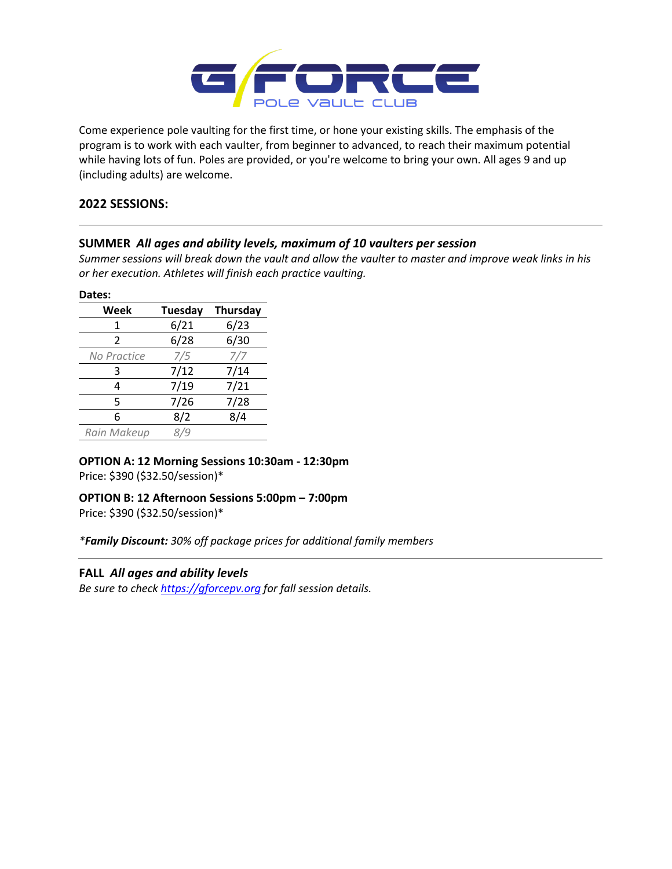

Come experience pole vaulting for the first time, or hone your existing skills. The emphasis of the program is to work with each vaulter, from beginner to advanced, to reach their maximum potential while having lots of fun. Poles are provided, or you're welcome to bring your own. All ages 9 and up (including adults) are welcome.

# **2022 SESSIONS:**

# **SUMMER** *All ages and ability levels, maximum of 10 vaulters per session*

*Summer sessions will break down the vault and allow the vaulter to master and improve weak links in his or her execution. Athletes will finish each practice vaulting.*

#### **Dates:**

| Week          | Tuesday | Thursday |
|---------------|---------|----------|
| 1             | 6/21    | 6/23     |
| $\mathcal{P}$ | 6/28    | 6/30     |
| No Practice   | 7/5     | 7/7      |
| 3             | 7/12    | 7/14     |
| 4             | 7/19    | 7/21     |
| 5             | 7/26    | 7/28     |
| 6             | 8/2     | 8/4      |
| Rain Makeup   |         |          |

# **OPTION A: 12 Morning Sessions 10:30am - 12:30pm**

Price: \$390 (\$32.50/session)\*

# **OPTION B: 12 Afternoon Sessions 5:00pm – 7:00pm**

Price: \$390 (\$32.50/session)\*

*\*Family Discount: 30% off package prices for additional family members*

# **FALL** *All ages and ability levels*

*Be sure to chec[k https://gforcepv.org](https://gforcepv.org/) for fall session details.*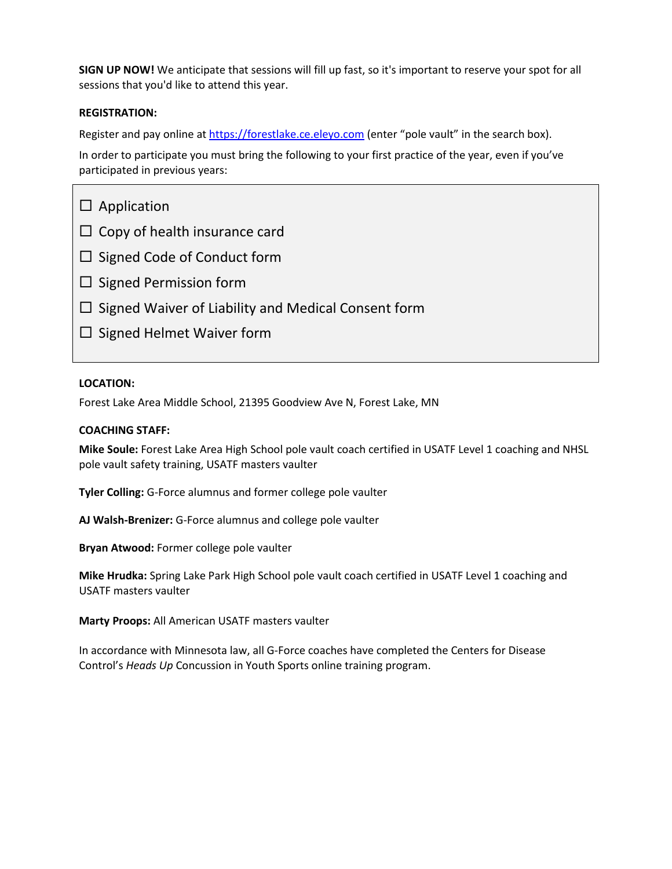**SIGN UP NOW!** We anticipate that sessions will fill up fast, so it's important to reserve your spot for all sessions that you'd like to attend this year.

#### **REGISTRATION:**

Register and pay online a[t https://forestlake.ce.eleyo.com](https://forestlake.ce.eleyo.com/) (enter "pole vault" in the search box).

In order to participate you must bring the following to your first practice of the year, even if you've participated in previous years:

| $\Box$ Application                                         |
|------------------------------------------------------------|
| $\Box$ Copy of health insurance card                       |
| $\Box$ Signed Code of Conduct form                         |
| $\Box$ Signed Permission form                              |
| $\Box$ Signed Waiver of Liability and Medical Consent form |
| $\Box$ Signed Helmet Waiver form                           |
|                                                            |

#### **LOCATION:**

Forest Lake Area Middle School, 21395 Goodview Ave N, Forest Lake, MN

#### **COACHING STAFF:**

**Mike Soule:** Forest Lake Area High School pole vault coach certified in USATF Level 1 coaching and NHSL pole vault safety training, USATF masters vaulter

**Tyler Colling:** G-Force alumnus and former college pole vaulter

**AJ Walsh-Brenizer:** G-Force alumnus and college pole vaulter

**Bryan Atwood:** Former college pole vaulter

**Mike Hrudka:** Spring Lake Park High School pole vault coach certified in USATF Level 1 coaching and USATF masters vaulter

**Marty Proops:** All American USATF masters vaulter

In accordance with Minnesota law, all G-Force coaches have completed the Centers for Disease Control's *Heads Up* Concussion in Youth Sports online training program.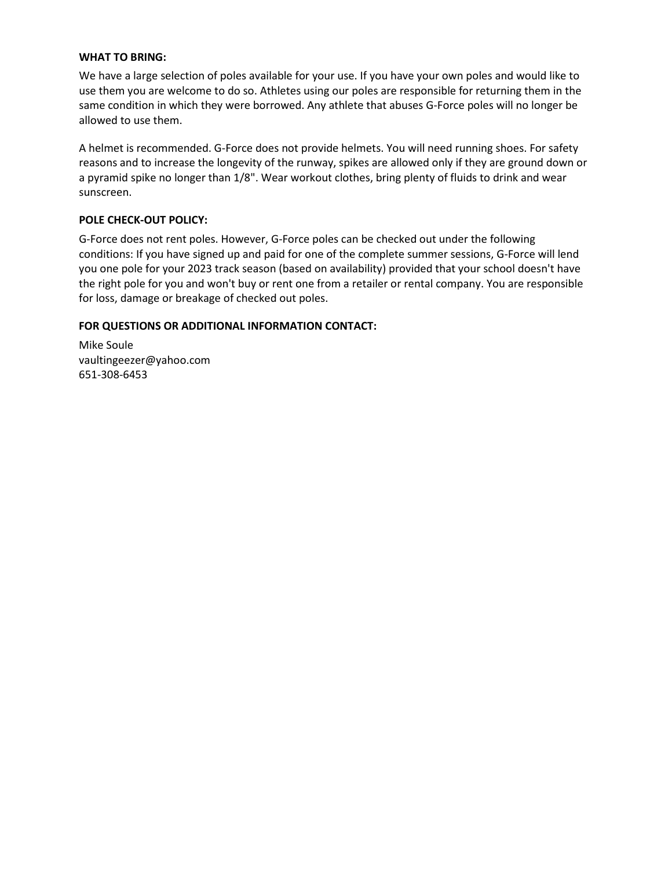#### **WHAT TO BRING:**

We have a large selection of poles available for your use. If you have your own poles and would like to use them you are welcome to do so. Athletes using our poles are responsible for returning them in the same condition in which they were borrowed. Any athlete that abuses G-Force poles will no longer be allowed to use them.

A helmet is recommended. G-Force does not provide helmets. You will need running shoes. For safety reasons and to increase the longevity of the runway, spikes are allowed only if they are ground down or a pyramid spike no longer than 1/8". Wear workout clothes, bring plenty of fluids to drink and wear sunscreen.

#### **POLE CHECK-OUT POLICY:**

G-Force does not rent poles. However, G-Force poles can be checked out under the following conditions: If you have signed up and paid for one of the complete summer sessions, G-Force will lend you one pole for your 2023 track season (based on availability) provided that your school doesn't have the right pole for you and won't buy or rent one from a retailer or rental company. You are responsible for loss, damage or breakage of checked out poles.

#### **FOR QUESTIONS OR ADDITIONAL INFORMATION CONTACT:**

Mike Soule vaultingeezer@yahoo.com 651-308-6453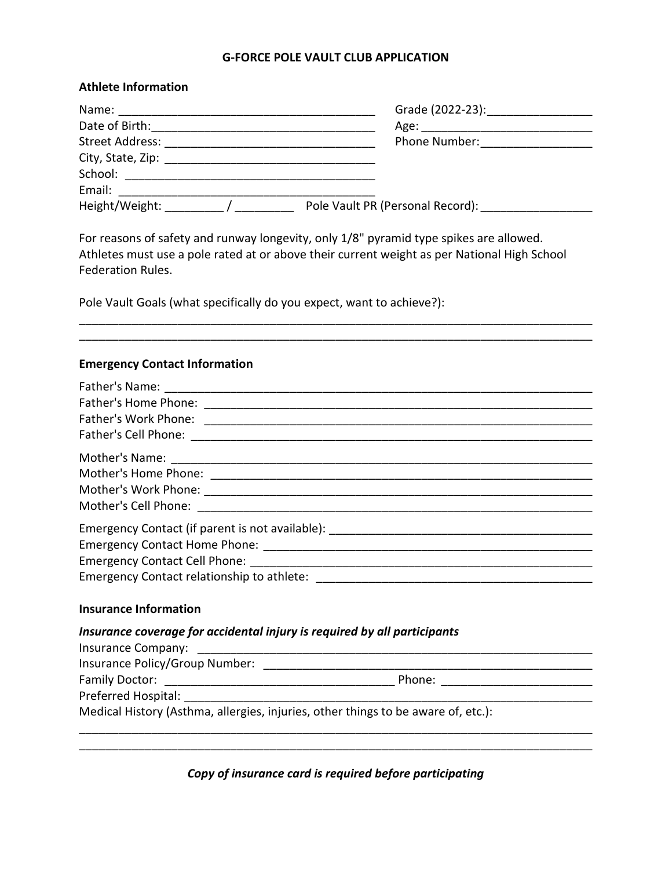#### **G-FORCE POLE VAULT CLUB APPLICATION**

| <b>Athlete Information</b> |                                                                                                                                                                                                                               |
|----------------------------|-------------------------------------------------------------------------------------------------------------------------------------------------------------------------------------------------------------------------------|
|                            |                                                                                                                                                                                                                               |
|                            |                                                                                                                                                                                                                               |
| Street Address:            | Phone Number: The Contract of the Contract of the Contract of the Contract of the Contract of the Contract of the Contract of the Contract of the Contract of the Contract of the Contract of the Contract of the Contract of |
|                            |                                                                                                                                                                                                                               |
| School: <b>School</b>      |                                                                                                                                                                                                                               |
| Email:                     |                                                                                                                                                                                                                               |
| Height/Weight:             | Pole Vault PR (Personal Record):                                                                                                                                                                                              |

For reasons of safety and runway longevity, only 1/8" pyramid type spikes are allowed. Athletes must use a pole rated at or above their current weight as per National High School Federation Rules.

\_\_\_\_\_\_\_\_\_\_\_\_\_\_\_\_\_\_\_\_\_\_\_\_\_\_\_\_\_\_\_\_\_\_\_\_\_\_\_\_\_\_\_\_\_\_\_\_\_\_\_\_\_\_\_\_\_\_\_\_\_\_\_\_\_\_\_\_\_\_\_\_\_\_\_\_\_\_ \_\_\_\_\_\_\_\_\_\_\_\_\_\_\_\_\_\_\_\_\_\_\_\_\_\_\_\_\_\_\_\_\_\_\_\_\_\_\_\_\_\_\_\_\_\_\_\_\_\_\_\_\_\_\_\_\_\_\_\_\_\_\_\_\_\_\_\_\_\_\_\_\_\_\_\_\_\_

Pole Vault Goals (what specifically do you expect, want to achieve?):

#### **Emergency Contact Information**

| Emergency Contact (if parent is not available): _________________________________ |
|-----------------------------------------------------------------------------------|
|                                                                                   |
|                                                                                   |
|                                                                                   |
|                                                                                   |
|                                                                                   |

# **Insurance Information**

# *Insurance coverage for accidental injury is required by all participants*

| Insurance Company:                                                                                                                                                                                                             |        |  |
|--------------------------------------------------------------------------------------------------------------------------------------------------------------------------------------------------------------------------------|--------|--|
| Insurance Policy/Group Number:                                                                                                                                                                                                 |        |  |
| Family Doctor: __________________                                                                                                                                                                                              | Phone: |  |
| Preferred Hospital: North and Separate Separate Separate Separate Separate Separate Separate Separate Separate Separate Separate Separate Separate Separate Separate Separate Separate Separate Separate Separate Separate Sep |        |  |
| Medical History (Asthma, allergies, injuries, other things to be aware of, etc.):                                                                                                                                              |        |  |

*Copy of insurance card is required before participating*

\_\_\_\_\_\_\_\_\_\_\_\_\_\_\_\_\_\_\_\_\_\_\_\_\_\_\_\_\_\_\_\_\_\_\_\_\_\_\_\_\_\_\_\_\_\_\_\_\_\_\_\_\_\_\_\_\_\_\_\_\_\_\_\_\_\_\_\_\_\_\_\_\_\_\_\_\_\_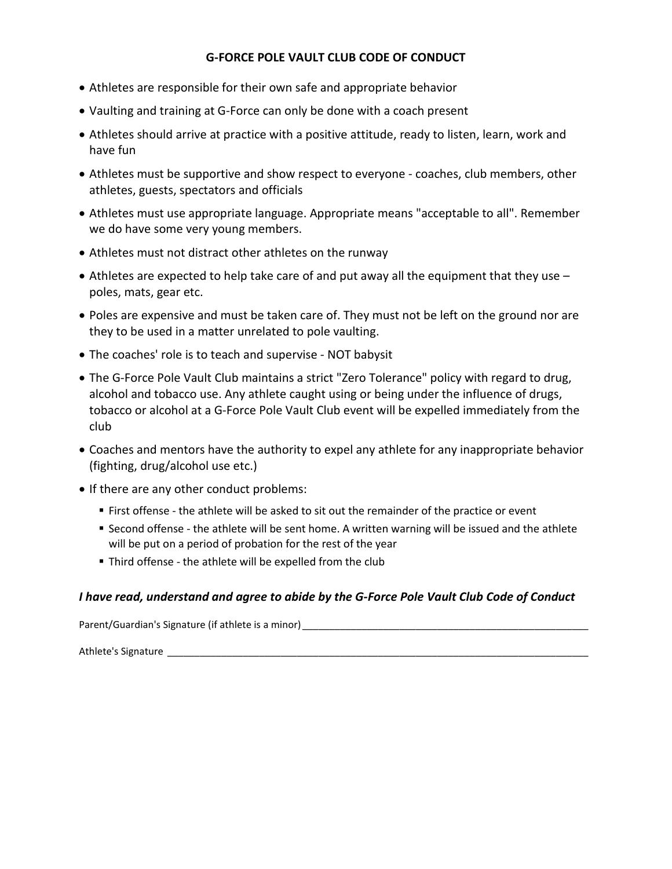# **G-FORCE POLE VAULT CLUB CODE OF CONDUCT**

- Athletes are responsible for their own safe and appropriate behavior
- Vaulting and training at G-Force can only be done with a coach present
- Athletes should arrive at practice with a positive attitude, ready to listen, learn, work and have fun
- Athletes must be supportive and show respect to everyone coaches, club members, other athletes, guests, spectators and officials
- Athletes must use appropriate language. Appropriate means "acceptable to all". Remember we do have some very young members.
- Athletes must not distract other athletes on the runway
- Athletes are expected to help take care of and put away all the equipment that they use  $$ poles, mats, gear etc.
- Poles are expensive and must be taken care of. They must not be left on the ground nor are they to be used in a matter unrelated to pole vaulting.
- The coaches' role is to teach and supervise NOT babysit
- The G-Force Pole Vault Club maintains a strict "Zero Tolerance" policy with regard to drug, alcohol and tobacco use. Any athlete caught using or being under the influence of drugs, tobacco or alcohol at a G-Force Pole Vault Club event will be expelled immediately from the club
- Coaches and mentors have the authority to expel any athlete for any inappropriate behavior (fighting, drug/alcohol use etc.)
- If there are any other conduct problems:
	- First offense the athlete will be asked to sit out the remainder of the practice or event
	- Second offense the athlete will be sent home. A written warning will be issued and the athlete will be put on a period of probation for the rest of the year
	- Third offense the athlete will be expelled from the club

# *I have read, understand and agree to abide by the G-Force Pole Vault Club Code of Conduct*

Parent/Guardian's Signature (if athlete is a minor)

Athlete's Signature \_\_\_\_\_\_\_\_\_\_\_\_\_\_\_\_\_\_\_\_\_\_\_\_\_\_\_\_\_\_\_\_\_\_\_\_\_\_\_\_\_\_\_\_\_\_\_\_\_\_\_\_\_\_\_\_\_\_\_\_\_\_\_\_\_\_\_\_\_\_\_\_\_\_\_\_\_\_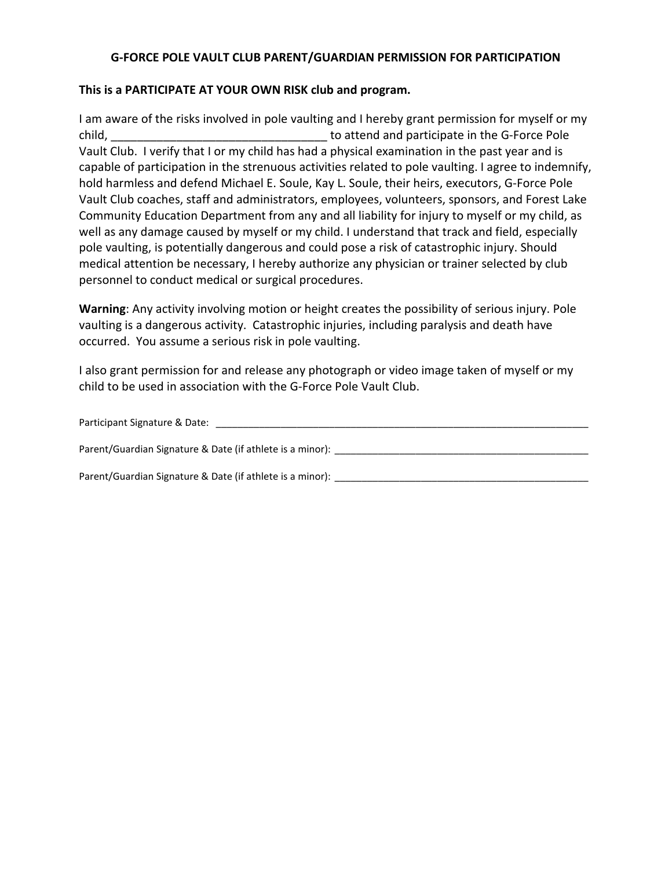# **G-FORCE POLE VAULT CLUB PARENT/GUARDIAN PERMISSION FOR PARTICIPATION**

# **This is a PARTICIPATE AT YOUR OWN RISK club and program.**

I am aware of the risks involved in pole vaulting and I hereby grant permission for myself or my child, to attend and participate in the G-Force Pole Vault Club. I verify that I or my child has had a physical examination in the past year and is capable of participation in the strenuous activities related to pole vaulting. I agree to indemnify, hold harmless and defend Michael E. Soule, Kay L. Soule, their heirs, executors, G-Force Pole Vault Club coaches, staff and administrators, employees, volunteers, sponsors, and Forest Lake Community Education Department from any and all liability for injury to myself or my child, as well as any damage caused by myself or my child. I understand that track and field, especially pole vaulting, is potentially dangerous and could pose a risk of catastrophic injury. Should medical attention be necessary, I hereby authorize any physician or trainer selected by club personnel to conduct medical or surgical procedures.

**Warning**: Any activity involving motion or height creates the possibility of serious injury. Pole vaulting is a dangerous activity. Catastrophic injuries, including paralysis and death have occurred. You assume a serious risk in pole vaulting.

I also grant permission for and release any photograph or video image taken of myself or my child to be used in association with the G-Force Pole Vault Club.

| Participant Signature & Date:                             |  |
|-----------------------------------------------------------|--|
| Parent/Guardian Signature & Date (if athlete is a minor): |  |
| Parent/Guardian Signature & Date (if athlete is a minor): |  |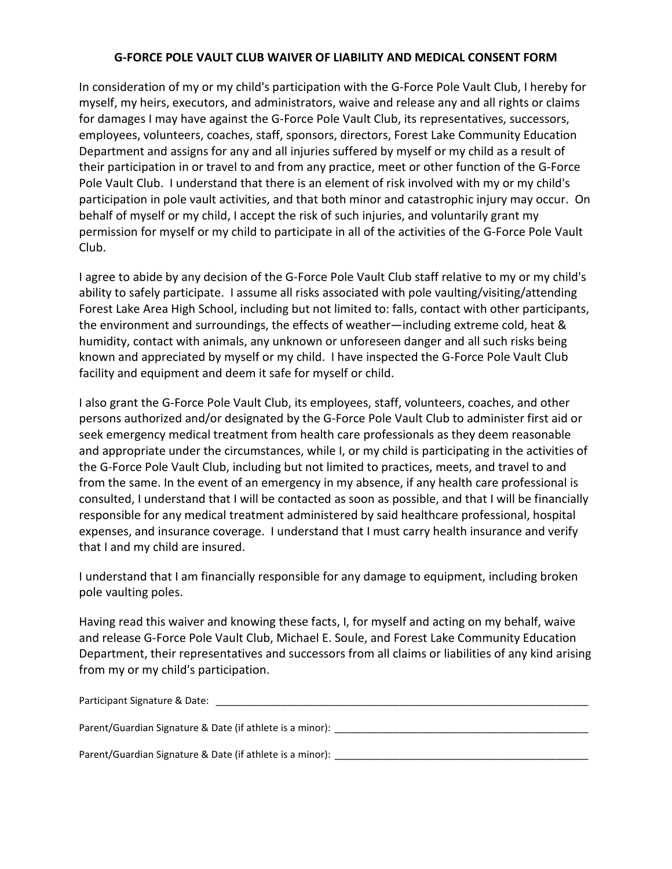# **G-FORCE POLE VAULT CLUB WAIVER OF LIABILITY AND MEDICAL CONSENT FORM**

In consideration of my or my child's participation with the G-Force Pole Vault Club, I hereby for myself, my heirs, executors, and administrators, waive and release any and all rights or claims for damages I may have against the G-Force Pole Vault Club, its representatives, successors, employees, volunteers, coaches, staff, sponsors, directors, Forest Lake Community Education Department and assigns for any and all injuries suffered by myself or my child as a result of their participation in or travel to and from any practice, meet or other function of the G-Force Pole Vault Club. I understand that there is an element of risk involved with my or my child's participation in pole vault activities, and that both minor and catastrophic injury may occur. On behalf of myself or my child, I accept the risk of such injuries, and voluntarily grant my permission for myself or my child to participate in all of the activities of the G-Force Pole Vault Club.

I agree to abide by any decision of the G-Force Pole Vault Club staff relative to my or my child's ability to safely participate. I assume all risks associated with pole vaulting/visiting/attending Forest Lake Area High School, including but not limited to: falls, contact with other participants, the environment and surroundings, the effects of weather—including extreme cold, heat & humidity, contact with animals, any unknown or unforeseen danger and all such risks being known and appreciated by myself or my child. I have inspected the G-Force Pole Vault Club facility and equipment and deem it safe for myself or child.

I also grant the G-Force Pole Vault Club, its employees, staff, volunteers, coaches, and other persons authorized and/or designated by the G-Force Pole Vault Club to administer first aid or seek emergency medical treatment from health care professionals as they deem reasonable and appropriate under the circumstances, while I, or my child is participating in the activities of the G-Force Pole Vault Club, including but not limited to practices, meets, and travel to and from the same. In the event of an emergency in my absence, if any health care professional is consulted, I understand that I will be contacted as soon as possible, and that I will be financially responsible for any medical treatment administered by said healthcare professional, hospital expenses, and insurance coverage. I understand that I must carry health insurance and verify that I and my child are insured.

I understand that I am financially responsible for any damage to equipment, including broken pole vaulting poles.

Having read this waiver and knowing these facts, I, for myself and acting on my behalf, waive and release G-Force Pole Vault Club, Michael E. Soule, and Forest Lake Community Education Department, their representatives and successors from all claims or liabilities of any kind arising from my or my child's participation.

| Participant Signature & Date: |  |  |
|-------------------------------|--|--|
|                               |  |  |

Parent/Guardian Signature & Date (if athlete is a minor):

Parent/Guardian Signature & Date (if athlete is a minor): \_\_\_\_\_\_\_\_\_\_\_\_\_\_\_\_\_\_\_\_\_\_\_\_\_\_\_\_\_\_\_\_\_\_\_\_\_\_\_\_\_\_\_\_\_\_\_